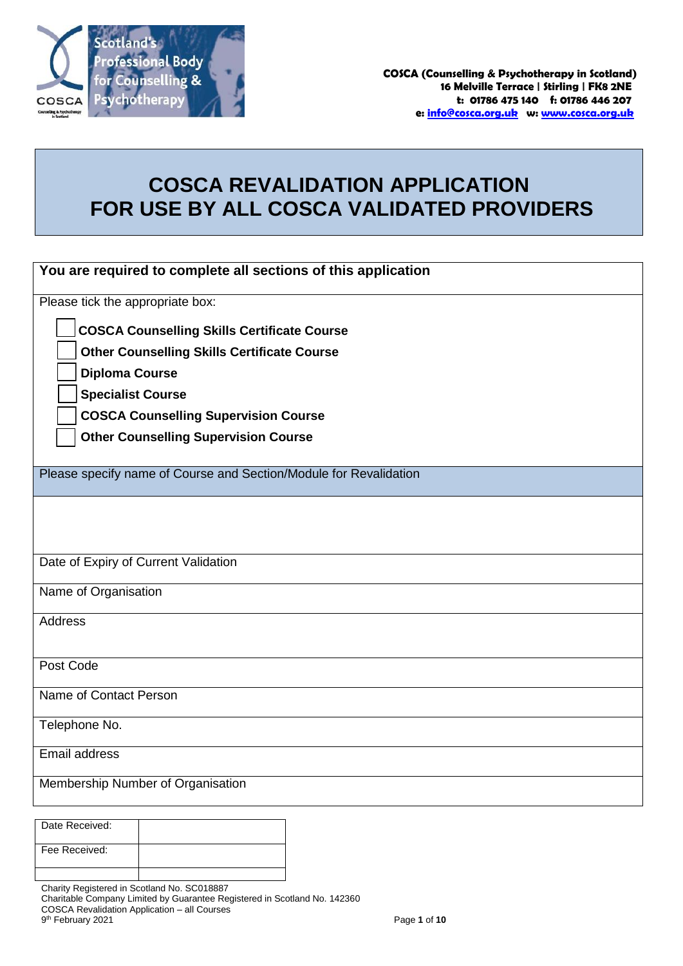

# **COSCA REVALIDATION APPLICATION FOR USE BY ALL COSCA VALIDATED PROVIDERS**

| You are required to complete all sections of this application           |
|-------------------------------------------------------------------------|
| Please tick the appropriate box:                                        |
| <b>COSCA Counselling Skills Certificate Course</b>                      |
| <b>Other Counselling Skills Certificate Course</b>                      |
| <b>Diploma Course</b>                                                   |
| <b>Specialist Course</b><br><b>COSCA Counselling Supervision Course</b> |
| <b>Other Counselling Supervision Course</b>                             |
|                                                                         |
| Please specify name of Course and Section/Module for Revalidation       |
|                                                                         |
|                                                                         |
| Date of Expiry of Current Validation                                    |
| Name of Organisation                                                    |
| <b>Address</b>                                                          |
|                                                                         |
| Post Code                                                               |
| Name of Contact Person                                                  |
| Telephone No.                                                           |
| <b>Email address</b>                                                    |
| Membership Number of Organisation                                       |
|                                                                         |

| Date Received: |  |
|----------------|--|
| Fee Received:  |  |
|                |  |

Charity Registered in Scotland No. SC018887

COSCA Revalidation Application – all Courses

9 th February 2021 Page **1** of **10**

Charitable Company Limited by Guarantee Registered in Scotland No. 142360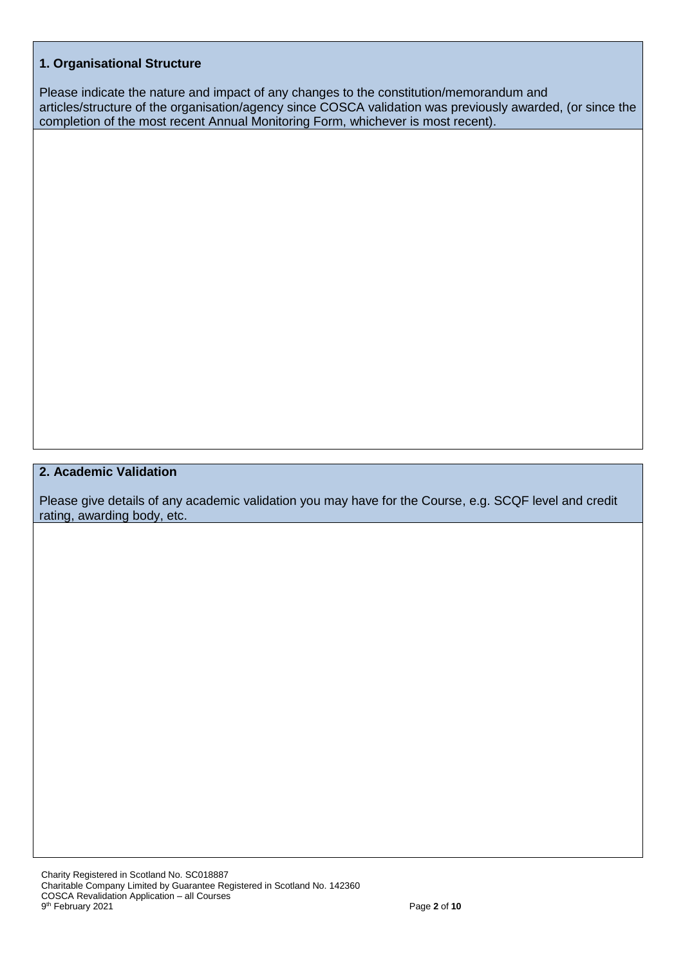### **1. Organisational Structure**

Please indicate the nature and impact of any changes to the constitution/memorandum and articles/structure of the organisation/agency since COSCA validation was previously awarded, (or since the completion of the most recent Annual Monitoring Form, whichever is most recent).

# **2. Academic Validation**

Please give details of any academic validation you may have for the Course, e.g. SCQF level and credit rating, awarding body, etc.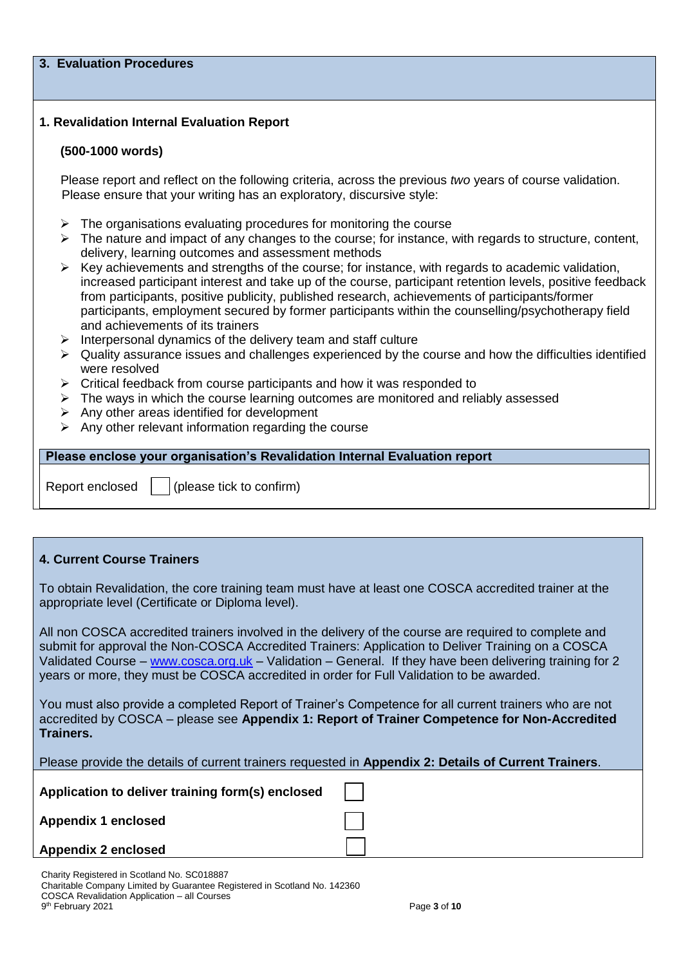#### **3. Evaluation Procedures**

### **1. Revalidation Internal Evaluation Report**

#### **(500-1000 words)**

Please report and reflect on the following criteria, across the previous *two* years of course validation. Please ensure that your writing has an exploratory, discursive style:

- $\triangleright$  The organisations evaluating procedures for monitoring the course
- $\triangleright$  The nature and impact of any changes to the course; for instance, with regards to structure, content, delivery, learning outcomes and assessment methods
- $\triangleright$  Key achievements and strengths of the course; for instance, with regards to academic validation, increased participant interest and take up of the course, participant retention levels, positive feedback from participants, positive publicity, published research, achievements of participants/former participants, employment secured by former participants within the counselling/psychotherapy field and achievements of its trainers
- $\triangleright$  Interpersonal dynamics of the delivery team and staff culture
- $\triangleright$  Quality assurance issues and challenges experienced by the course and how the difficulties identified were resolved
- $\triangleright$  Critical feedback from course participants and how it was responded to
- $\triangleright$  The ways in which the course learning outcomes are monitored and reliably assessed
- $\triangleright$  Any other areas identified for development
- $\triangleright$  Any other relevant information regarding the course

**Please enclose your organisation's Revalidation Internal Evaluation report**

Report enclosed  $\vert \cdot \vert$  (please tick to confirm)

### **4. Current Course Trainers**

To obtain Revalidation, the core training team must have at least one COSCA accredited trainer at the appropriate level (Certificate or Diploma level).

All non COSCA accredited trainers involved in the delivery of the course are required to complete and submit for approval the Non-COSCA Accredited Trainers: Application to Deliver Training on a COSCA Validated Course – [www.cosca.org.uk](http://www.cosca.org.uk/) – Validation – General. If they have been delivering training for 2 years or more, they must be COSCA accredited in order for Full Validation to be awarded.

You must also provide a completed Report of Trainer's Competence for all current trainers who are not accredited by COSCA – please see **Appendix 1: Report of Trainer Competence for Non-Accredited Trainers.**

Please provide the details of current trainers requested in **Appendix 2: Details of Current Trainers**.

**Application to deliver training form(s) enclosed** 

**Appendix 1 enclosed** 

**Appendix 2 enclosed** 

| Charity Registered in Scotland No. SC018887                               |              |
|---------------------------------------------------------------------------|--------------|
| Charitable Company Limited by Guarantee Registered in Scotland No. 142360 |              |
| COSCA Revalidation Application – all Courses                              |              |
| 9 <sup>th</sup> February 2021                                             | Page 3 of 10 |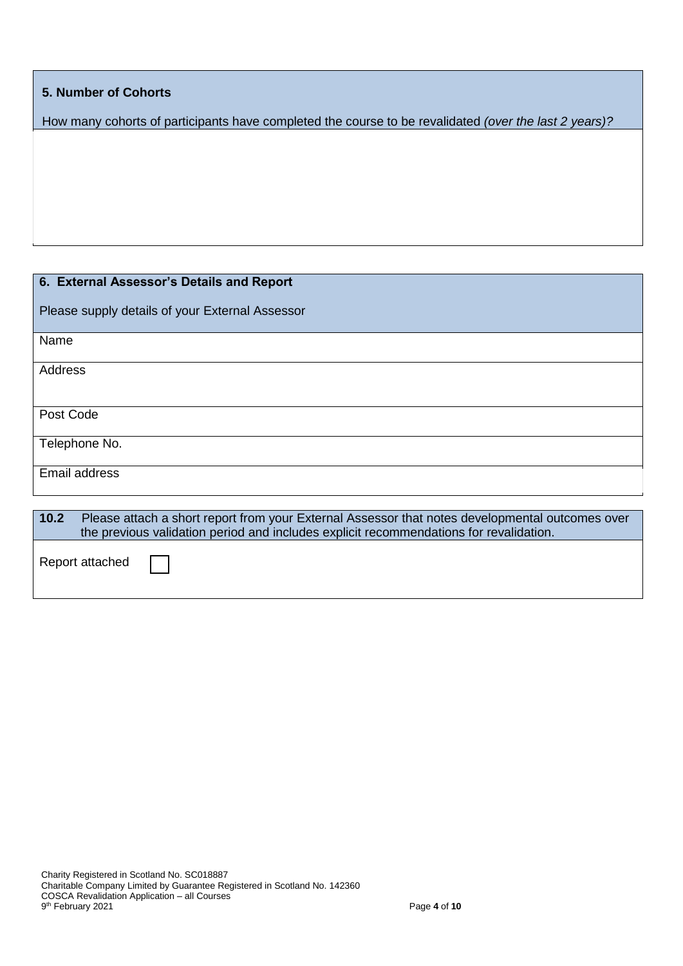## **5. Number of Cohorts**

How many cohorts of participants have completed the course to be revalidated *(over the last 2 years)?*

| 6. External Assessor's Details and Report                                                                                                                                                         |
|---------------------------------------------------------------------------------------------------------------------------------------------------------------------------------------------------|
| Please supply details of your External Assessor                                                                                                                                                   |
| Name                                                                                                                                                                                              |
| Address                                                                                                                                                                                           |
| Post Code                                                                                                                                                                                         |
| Telephone No.                                                                                                                                                                                     |
| Email address                                                                                                                                                                                     |
|                                                                                                                                                                                                   |
| 10.2<br>Please attach a short report from your External Assessor that notes developmental outcomes over<br>the previous validation period and includes explicit recommendations for revalidation. |
| Report attached                                                                                                                                                                                   |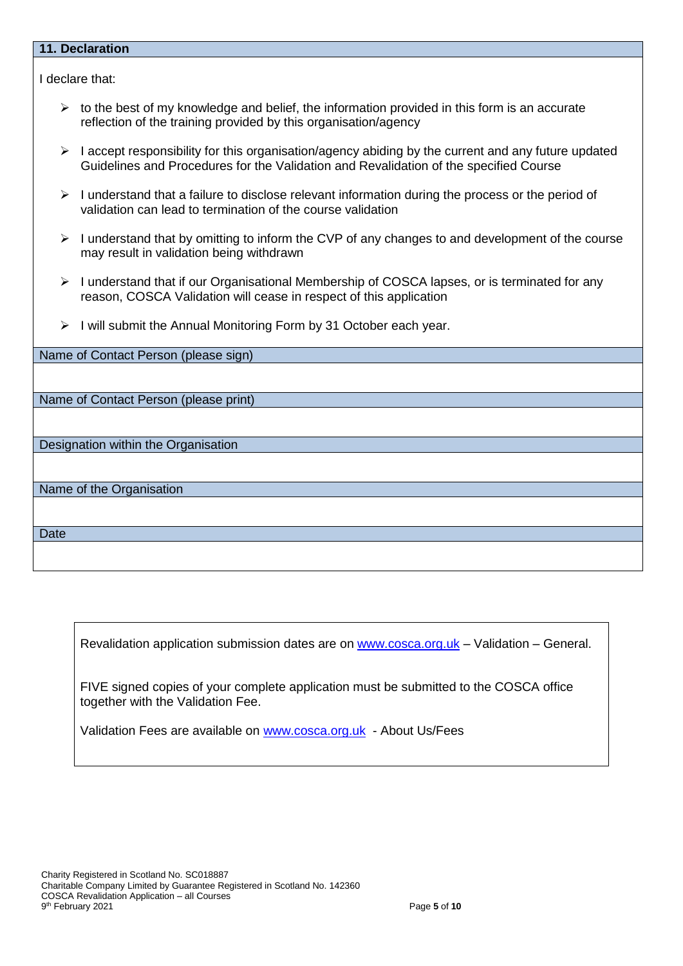#### **11. Declaration**

I declare that:

- $\triangleright$  to the best of my knowledge and belief, the information provided in this form is an accurate reflection of the training provided by this organisation/agency
- $\triangleright$  I accept responsibility for this organisation/agency abiding by the current and any future updated Guidelines and Procedures for the Validation and Revalidation of the specified Course
- $\triangleright$  I understand that a failure to disclose relevant information during the process or the period of validation can lead to termination of the course validation
- $\triangleright$  I understand that by omitting to inform the CVP of any changes to and development of the course may result in validation being withdrawn
- ▶ I understand that if our Organisational Membership of COSCA lapses, or is terminated for any reason, COSCA Validation will cease in respect of this application
- $\triangleright$  I will submit the Annual Monitoring Form by 31 October each year.

| Name of Contact Person (please sign)  |
|---------------------------------------|
|                                       |
|                                       |
| Name of Contact Person (please print) |
|                                       |
|                                       |
| Designation within the Organisation   |
|                                       |
|                                       |
| Name of the Organisation              |
|                                       |
|                                       |
| <b>Date</b>                           |
|                                       |
|                                       |

Revalidation application submission dates are on [www.cosca.org.uk](http://www.cosca.org.uk/) – Validation – General.

FIVE signed copies of your complete application must be submitted to the COSCA office together with the Validation Fee.

Validation Fees are available on [www.cosca.org.uk](http://www.cosca.org.uk/) - About Us/Fees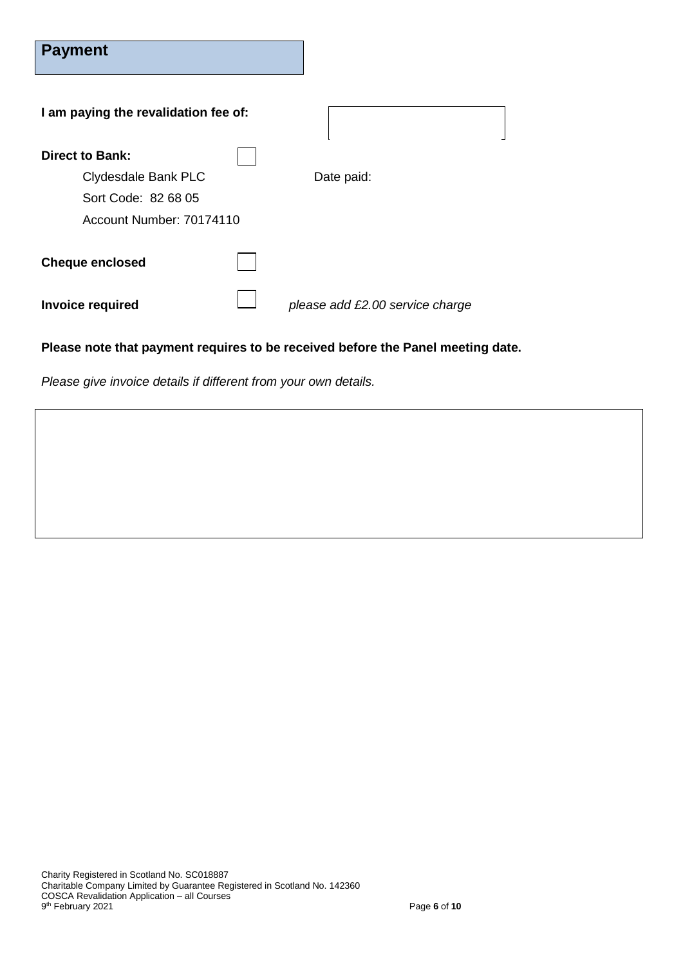| <b>Payment</b>                                  |                                 |
|-------------------------------------------------|---------------------------------|
| I am paying the revalidation fee of:            |                                 |
| <b>Direct to Bank:</b><br>Clydesdale Bank PLC   | Date paid:                      |
| Sort Code: 82 68 05<br>Account Number: 70174110 |                                 |
| <b>Cheque enclosed</b>                          |                                 |
| <b>Invoice required</b>                         | please add £2.00 service charge |

# **Please note that payment requires to be received before the Panel meeting date.**

*Please give invoice details if different from your own details.*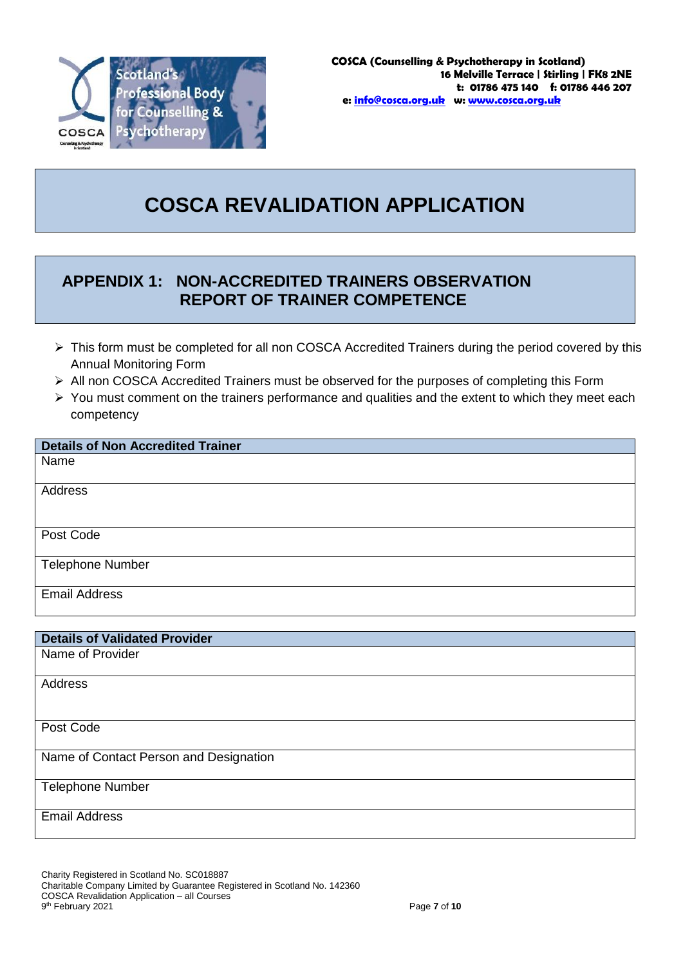

# **COSCA REVALIDATION APPLICATION**

# **APPENDIX 1: NON-ACCREDITED TRAINERS OBSERVATION REPORT OF TRAINER COMPETENCE**

- $\triangleright$  This form must be completed for all non COSCA Accredited Trainers during the period covered by this Annual Monitoring Form
- All non COSCA Accredited Trainers must be observed for the purposes of completing this Form
- $\triangleright$  You must comment on the trainers performance and qualities and the extent to which they meet each competency

## **Details of Non Accredited Trainer**

Name

Address

Post Code

Telephone Number

Email Address

## **Details of Validated Provider**

Name of Provider

**Address** 

Post Code

Name of Contact Person and Designation

Telephone Number

Email Address

Charity Registered in Scotland No. SC018887 Charitable Company Limited by Guarantee Registered in Scotland No. 142360 COSCA Revalidation Application – all Courses 9 th February 2021 Page **7** of **10**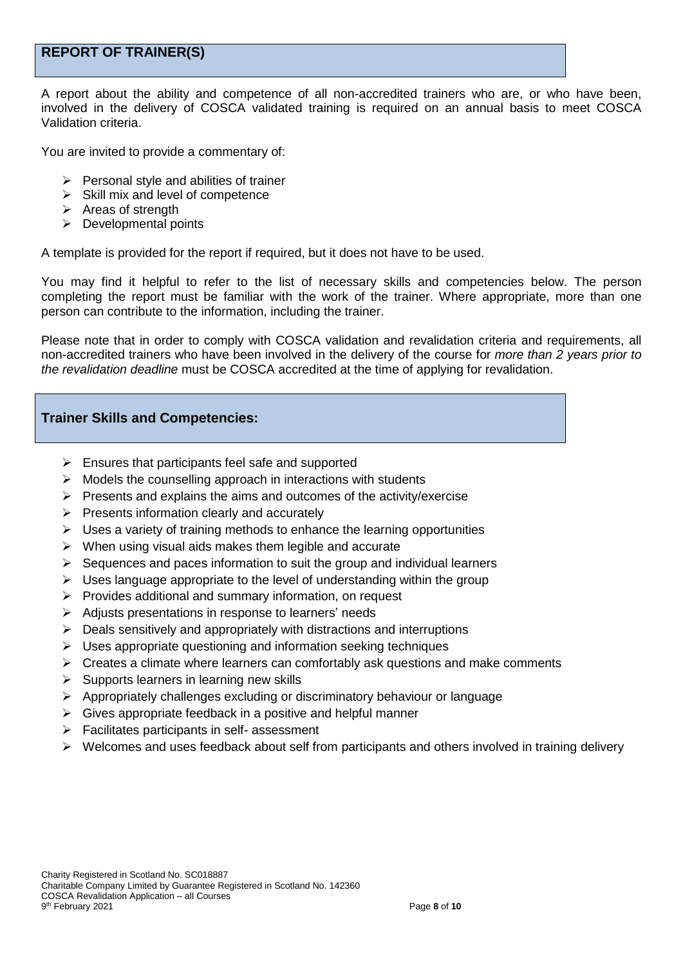# **REPORT OF TRAINER(S)**

A report about the ability and competence of all non-accredited trainers who are, or who have been, involved in the delivery of COSCA validated training is required on an annual basis to meet COSCA Validation criteria.

You are invited to provide a commentary of:

- $\triangleright$  Personal style and abilities of trainer
- $\triangleright$  Skill mix and level of competence
- $\triangleright$  Areas of strength
- $\triangleright$  Developmental points

A template is provided for the report if required, but it does not have to be used.

You may find it helpful to refer to the list of necessary skills and competencies below. The person completing the report must be familiar with the work of the trainer. Where appropriate, more than one person can contribute to the information, including the trainer.

Please note that in order to comply with COSCA validation and revalidation criteria and requirements, all non-accredited trainers who have been involved in the delivery of the course for *more than 2 years prior to the revalidation deadline* must be COSCA accredited at the time of applying for revalidation.

## **Trainer Skills and Competencies:**

- $\triangleright$  Ensures that participants feel safe and supported
- $\triangleright$  Models the counselling approach in interactions with students
- $\triangleright$  Presents and explains the aims and outcomes of the activity/exercise
- $\triangleright$  Presents information clearly and accurately
- $\triangleright$  Uses a variety of training methods to enhance the learning opportunities
- $\triangleright$  When using visual aids makes them legible and accurate
- $\triangleright$  Sequences and paces information to suit the group and individual learners
- $\triangleright$  Uses language appropriate to the level of understanding within the group
- $\triangleright$  Provides additional and summary information, on request
- $\triangleright$  Adjusts presentations in response to learners' needs
- $\triangleright$  Deals sensitively and appropriately with distractions and interruptions
- $\triangleright$  Uses appropriate questioning and information seeking techniques
- $\triangleright$  Creates a climate where learners can comfortably ask questions and make comments
- $\triangleright$  Supports learners in learning new skills
- $\triangleright$  Appropriately challenges excluding or discriminatory behaviour or language
- $\triangleright$  Gives appropriate feedback in a positive and helpful manner
- $\triangleright$  Facilitates participants in self- assessment
- $\triangleright$  Welcomes and uses feedback about self from participants and others involved in training delivery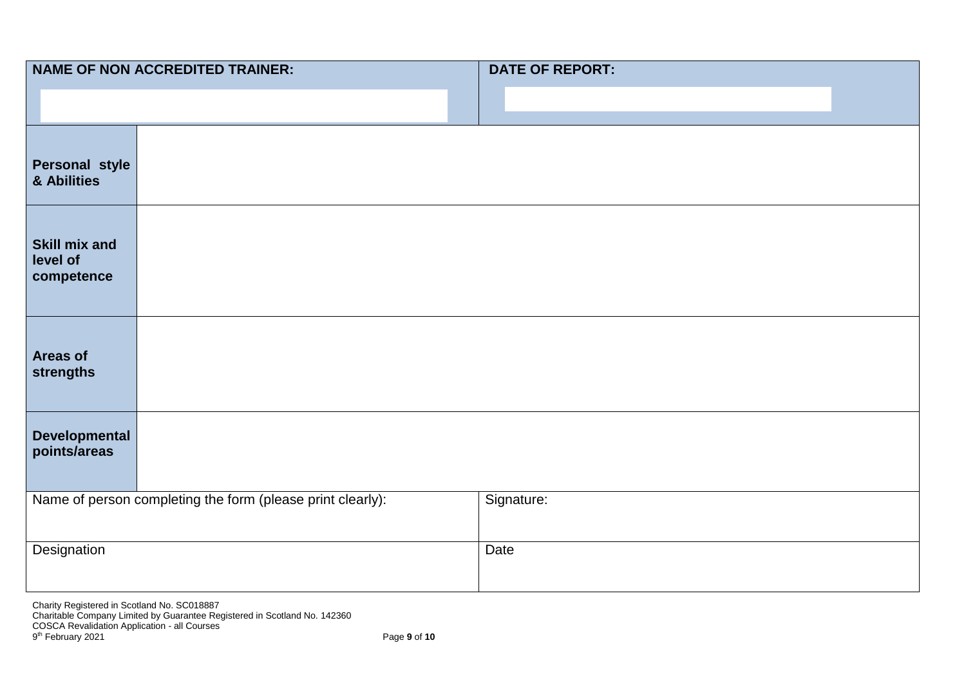| <b>NAME OF NON ACCREDITED TRAINER:</b>         |                                                            | <b>DATE OF REPORT:</b> |
|------------------------------------------------|------------------------------------------------------------|------------------------|
|                                                |                                                            |                        |
| Personal style<br>& Abilities                  |                                                            |                        |
| <b>Skill mix and</b><br>level of<br>competence |                                                            |                        |
| <b>Areas of</b><br>strengths                   |                                                            |                        |
| Developmental<br>points/areas                  |                                                            |                        |
|                                                | Name of person completing the form (please print clearly): | Signature:             |
| Designation                                    |                                                            | Date                   |

Charity Registered in Scotland No. SC018887 Charitable Company Limited by Guarantee Registered in Scotland No. 142360 COSCA Revalidation Application - all Courses